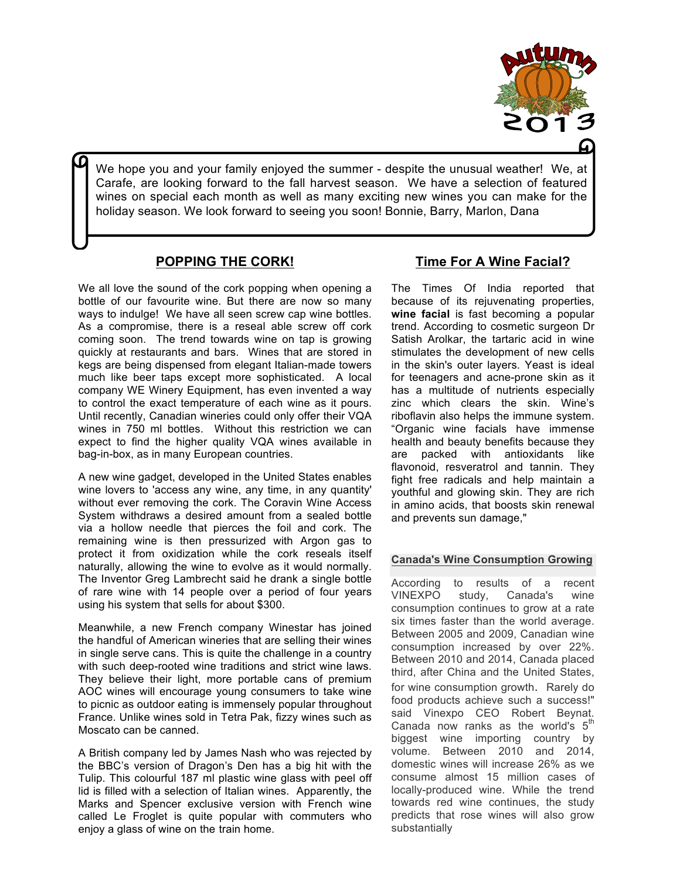

We hope you and your family enjoyed the summer - despite the unusual weather! We, at  Carafe, are looking forward to the fall harvest season. We have a selection of featured wines on special each month as well as many exciting new wines you can make for the holiday season. We look forward to seeing you soon! Bonnie, Barry, Marlon, Dana

## **POPPING THE CORK!**

We all love the sound of the cork popping when opening a bottle of our favourite wine. But there are now so many ways to indulge! We have all seen screw cap wine bottles. As a compromise, there is a reseal able screw off cork coming soon. The trend towards wine on tap is growing quickly at restaurants and bars. Wines that are stored in kegs are being dispensed from elegant Italian-made towers much like beer taps except more sophisticated. A local company WE Winery Equipment, has even invented a way to control the exact temperature of each wine as it pours. Until recently, Canadian wineries could only offer their VQA wines in 750 ml bottles. Without this restriction we can expect to find the higher quality VQA wines available in bag-in-box, as in many European countries.

A new wine gadget, developed in the United States enables wine lovers to 'access any wine, any time, in any quantity' without ever removing the cork. The Coravin Wine Access System withdraws a desired amount from a sealed bottle via a hollow needle that pierces the foil and cork. The remaining wine is then pressurized with Argon gas to protect it from oxidization while the cork reseals itself naturally, allowing the wine to evolve as it would normally. The Inventor Greg Lambrecht said he drank a single bottle of rare wine with 14 people over a period of four years using his system that sells for about \$300.

Meanwhile, a new French company Winestar has joined the handful of American wineries that are selling their wines in single serve cans. This is quite the challenge in a country with such deep-rooted wine traditions and strict wine laws. They believe their light, more portable cans of premium AOC wines will encourage young consumers to take wine to picnic as outdoor eating is immensely popular throughout France. Unlike wines sold in Tetra Pak, fizzy wines such as Moscato can be canned.

A British company led by James Nash who was rejected by the BBC's version of Dragon's Den has a big hit with the Tulip. This colourful 187 ml plastic wine glass with peel off lid is filled with a selection of Italian wines. Apparently, the Marks and Spencer exclusive version with French wine called Le Froglet is quite popular with commuters who enjoy a glass of wine on the train home.

## **Time For A Wine Facial?**

The Times Of India reported that because of its rejuvenating properties, **wine facial** is fast becoming a popular trend. According to cosmetic surgeon Dr Satish Arolkar, the tartaric acid in wine stimulates the development of new cells in the skin's outer layers. Yeast is ideal for teenagers and acne-prone skin as it has a multitude of nutrients especially zinc which clears the skin. Wine's riboflavin also helps the immune system. "Organic wine facials have immense health and beauty benefits because they are packed with antioxidants like flavonoid, resveratrol and tannin. They fight free radicals and help maintain a youthful and glowing skin. They are rich in amino acids, that boosts skin renewal and prevents sun damage,"

#### **Canada's Wine Consumption Growing**

According to results of a recent VINEXPO study, Canada's wine consumption continues to grow at a rate six times faster than the world average. Between 2005 and 2009, Canadian wine consumption increased by over 22%. Between 2010 and 2014, Canada placed third, after China and the United States, for wine consumption growth. Rarely do food products achieve such a success!" said Vinexpo CEO Robert Beynat. Canada now ranks as the world's  $5<sup>th</sup>$ biggest wine importing country by volume. Between 2010 and 2014, domestic wines will increase 26% as we consume almost 15 million cases of locally-produced wine. While the trend towards red wine continues, the study predicts that rose wines will also grow substantially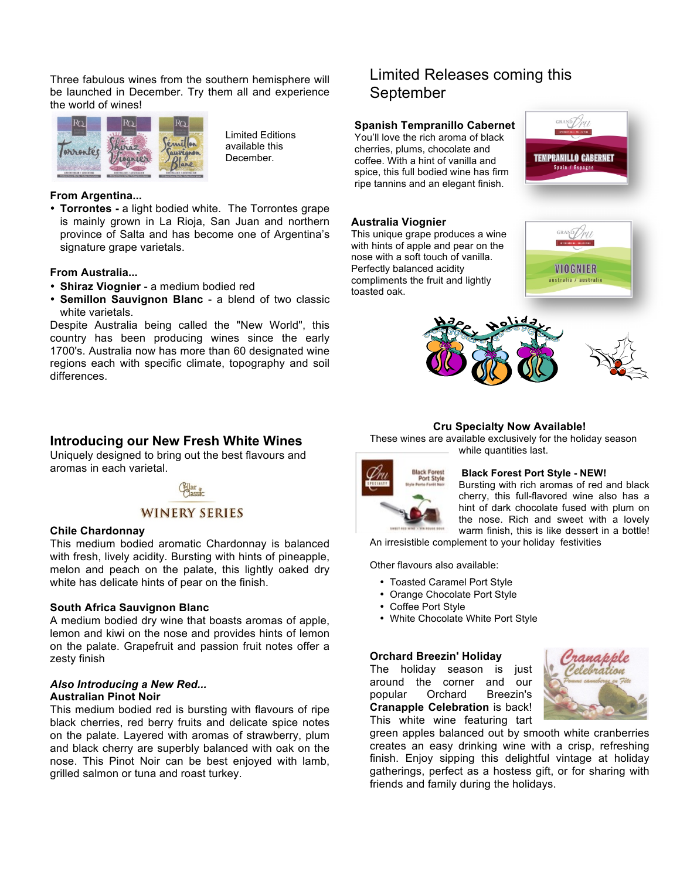Three fabulous wines from the southern hemisphere will be launched in December. Try them all and experience the world of wines!



Limited Editions available this December.

#### **From Argentina...**

• **Torrontes -** a light bodied white. The Torrontes grape is mainly grown in La Rioja, San Juan and northern province of Salta and has become one of Argentina's signature grape varietals.

#### **From Australia...**

- **Shiraz Viognier** a medium bodied red
- **Semillon Sauvignon Blanc** a blend of two classic white varietals.

Despite Australia being called the "New World", this country has been producing wines since the early 1700's. Australia now has more than 60 designated wine regions each with specific climate, topography and soil differences.

### **Introducing our New Fresh White Wines**

Uniquely designed to bring out the best flavours and aromas in each varietal.



#### **Chile Chardonnay**

This medium bodied aromatic Chardonnay is balanced with fresh, lively acidity. Bursting with hints of pineapple, melon and peach on the palate, this lightly oaked dry white has delicate hints of pear on the finish.

#### **South Africa Sauvignon Blanc**

A medium bodied dry wine that boasts aromas of apple, lemon and kiwi on the nose and provides hints of lemon on the palate. Grapefruit and passion fruit notes offer a zesty finish

#### *Also Introducing a New Red...* **Australian Pinot Noir**

This medium bodied red is bursting with flavours of ripe black cherries, red berry fruits and delicate spice notes on the palate. Layered with aromas of strawberry, plum and black cherry are superbly balanced with oak on the nose. This Pinot Noir can be best enjoyed with lamb, grilled salmon or tuna and roast turkey.

# Limited Releases coming this September

#### **Spanish Tempranillo Cabernet**

You'll love the rich aroma of black cherries, plums, chocolate and coffee. With a hint of vanilla and spice, this full bodied wine has firm ripe tannins and an elegant finish.



#### **Australia Viognier**

This unique grape produces a wine with hints of apple and pear on the nose with a soft touch of vanilla. Perfectly balanced acidity compliments the fruit and lightly toasted oak.





#### **Cru Specialty Now Available!**

These wines are available exclusively for the holiday season while quantities last.



#### **Black Forest Port Style - NEW!**

Bursting with rich aromas of red and black cherry, this full-flavored wine also has a hint of dark chocolate fused with plum on the nose. Rich and sweet with a lovely warm finish, this is like dessert in a bottle!

An irresistible complement to your holiday festivities

Other flavours also available:

- Toasted Caramel Port Style
- Orange Chocolate Port Style
- Coffee Port Style
- White Chocolate White Port Style

#### **Orchard Breezin' Holiday**

The holiday season is just around the corner and our popular Orchard Breezin's **Cranapple Celebration** is back! This white wine featuring tart



green apples balanced out by smooth white cranberries creates an easy drinking wine with a crisp, refreshing finish. Enjoy sipping this delightful vintage at holiday gatherings, perfect as a hostess gift, or for sharing with friends and family during the holidays.